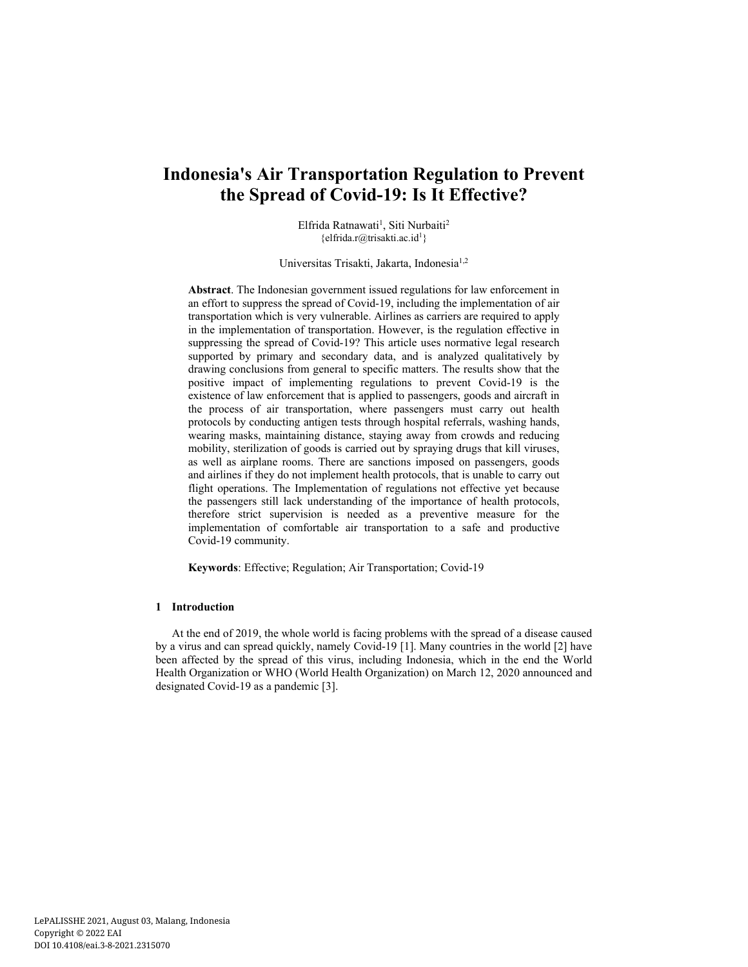# **Indonesia's Air Transportation Regulation to Prevent the Spread of Covid-19: Is It Effective?**

Elfrida Ratnawati<sup>1</sup>, Siti Nurbaiti<sup>2</sup>  ${ell_x \over \partial x}$ 

Universitas Trisakti, Jakarta, Indonesia<sup>1,2</sup>

**Abstract**. The Indonesian government issued regulations for law enforcement in an effort to suppress the spread of Covid-19, including the implementation of air transportation which is very vulnerable. Airlines as carriers are required to apply in the implementation of transportation. However, is the regulation effective in suppressing the spread of Covid-19? This article uses normative legal research supported by primary and secondary data, and is analyzed qualitatively by drawing conclusions from general to specific matters. The results show that the positive impact of implementing regulations to prevent Covid-19 is the existence of law enforcement that is applied to passengers, goods and aircraft in the process of air transportation, where passengers must carry out health protocols by conducting antigen tests through hospital referrals, washing hands, wearing masks, maintaining distance, staying away from crowds and reducing mobility, sterilization of goods is carried out by spraying drugs that kill viruses, as well as airplane rooms. There are sanctions imposed on passengers, goods and airlines if they do not implement health protocols, that is unable to carry out flight operations. The Implementation of regulations not effective yet because the passengers still lack understanding of the importance of health protocols, therefore strict supervision is needed as a preventive measure for the implementation of comfortable air transportation to a safe and productive Covid-19 community.

**Keywords**: Effective; Regulation; Air Transportation; Covid-19

#### **1 Introduction**

At the end of 2019, the whole world is facing problems with the spread of a disease caused by a virus and can spread quickly, namely Covid-19 [1]. Many countries in the world [2] have been affected by the spread of this virus, including Indonesia, which in the end the World Health Organization or WHO (World Health Organization) on March 12, 2020 announced and designated Covid-19 as a pandemic [3].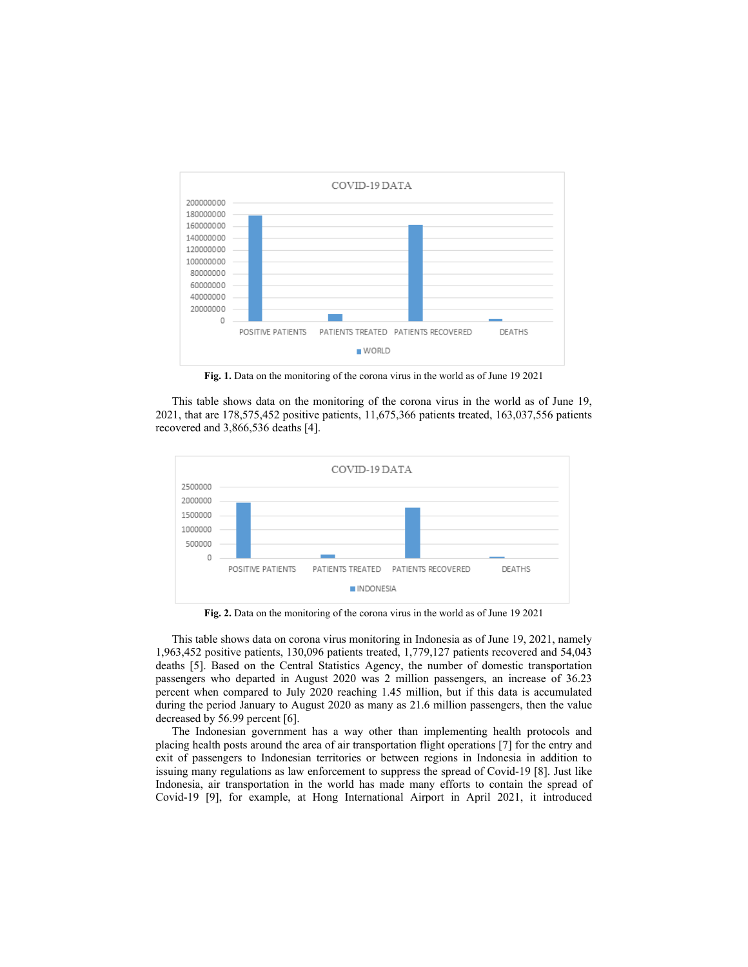

**Fig. 1.** Data on the monitoring of the corona virus in the world as of June 19 2021

This table shows data on the monitoring of the corona virus in the world as of June 19, 2021, that are 178,575,452 positive patients, 11,675,366 patients treated, 163,037,556 patients recovered and 3,866,536 deaths [4].



**Fig. 2.** Data on the monitoring of the corona virus in the world as of June 19 2021

This table shows data on corona virus monitoring in Indonesia as of June 19, 2021, namely 1,963,452 positive patients, 130,096 patients treated, 1,779,127 patients recovered and 54,043 deaths [5]. Based on the Central Statistics Agency, the number of domestic transportation passengers who departed in August 2020 was 2 million passengers, an increase of 36.23 percent when compared to July 2020 reaching 1.45 million, but if this data is accumulated during the period January to August 2020 as many as 21.6 million passengers, then the value decreased by 56.99 percent [6].

The Indonesian government has a way other than implementing health protocols and placing health posts around the area of air transportation flight operations [7] for the entry and exit of passengers to Indonesian territories or between regions in Indonesia in addition to issuing many regulations as law enforcement to suppress the spread of Covid-19 [8]. Just like Indonesia, air transportation in the world has made many efforts to contain the spread of Covid-19 [9], for example, at Hong International Airport in April 2021, it introduced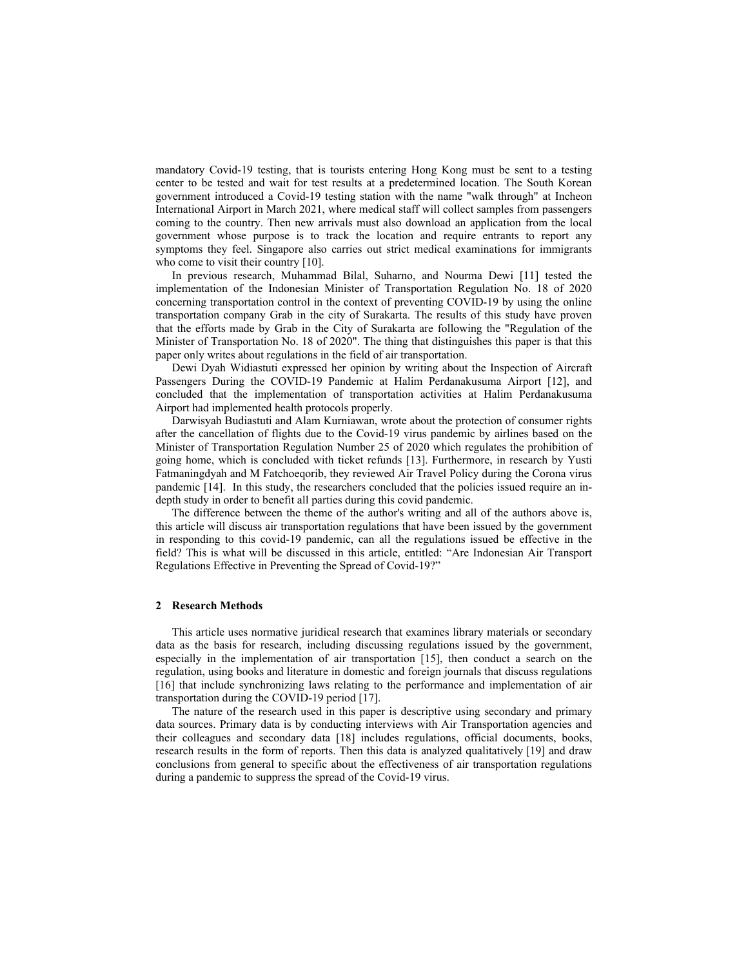mandatory Covid-19 testing, that is tourists entering Hong Kong must be sent to a testing center to be tested and wait for test results at a predetermined location. The South Korean government introduced a Covid-19 testing station with the name "walk through" at Incheon International Airport in March 2021, where medical staff will collect samples from passengers coming to the country. Then new arrivals must also download an application from the local government whose purpose is to track the location and require entrants to report any symptoms they feel. Singapore also carries out strict medical examinations for immigrants who come to visit their country [10].

In previous research, Muhammad Bilal, Suharno, and Nourma Dewi [11] tested the implementation of the Indonesian Minister of Transportation Regulation No. 18 of 2020 concerning transportation control in the context of preventing COVID-19 by using the online transportation company Grab in the city of Surakarta. The results of this study have proven that the efforts made by Grab in the City of Surakarta are following the "Regulation of the Minister of Transportation No. 18 of 2020". The thing that distinguishes this paper is that this paper only writes about regulations in the field of air transportation.

Dewi Dyah Widiastuti expressed her opinion by writing about the Inspection of Aircraft Passengers During the COVID-19 Pandemic at Halim Perdanakusuma Airport [12], and concluded that the implementation of transportation activities at Halim Perdanakusuma Airport had implemented health protocols properly.

Darwisyah Budiastuti and Alam Kurniawan, wrote about the protection of consumer rights after the cancellation of flights due to the Covid-19 virus pandemic by airlines based on the Minister of Transportation Regulation Number 25 of 2020 which regulates the prohibition of going home, which is concluded with ticket refunds [13]. Furthermore, in research by Yusti Fatmaningdyah and M Fatchoeqorib, they reviewed Air Travel Policy during the Corona virus pandemic [14]. In this study, the researchers concluded that the policies issued require an indepth study in order to benefit all parties during this covid pandemic.

The difference between the theme of the author's writing and all of the authors above is, this article will discuss air transportation regulations that have been issued by the government in responding to this covid-19 pandemic, can all the regulations issued be effective in the field? This is what will be discussed in this article, entitled: "Are Indonesian Air Transport Regulations Effective in Preventing the Spread of Covid-19?"

## **2 Research Methods**

This article uses normative juridical research that examines library materials or secondary data as the basis for research, including discussing regulations issued by the government, especially in the implementation of air transportation [15], then conduct a search on the regulation, using books and literature in domestic and foreign journals that discuss regulations [16] that include synchronizing laws relating to the performance and implementation of air transportation during the COVID-19 period [17].

The nature of the research used in this paper is descriptive using secondary and primary data sources. Primary data is by conducting interviews with Air Transportation agencies and their colleagues and secondary data [18] includes regulations, official documents, books, research results in the form of reports. Then this data is analyzed qualitatively [19] and draw conclusions from general to specific about the effectiveness of air transportation regulations during a pandemic to suppress the spread of the Covid-19 virus.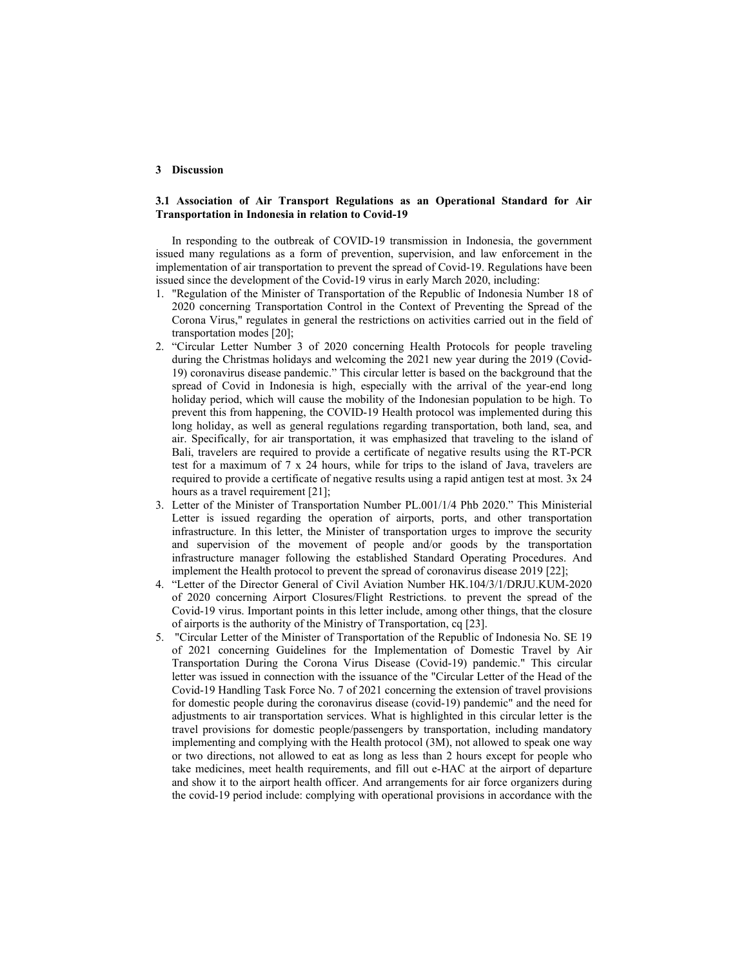#### **3 Discussion**

## **3.1 Association of Air Transport Regulations as an Operational Standard for Air Transportation in Indonesia in relation to Covid-19**

In responding to the outbreak of COVID-19 transmission in Indonesia, the government issued many regulations as a form of prevention, supervision, and law enforcement in the implementation of air transportation to prevent the spread of Covid-19. Regulations have been issued since the development of the Covid-19 virus in early March 2020, including:

- 1. "Regulation of the Minister of Transportation of the Republic of Indonesia Number 18 of 2020 concerning Transportation Control in the Context of Preventing the Spread of the Corona Virus," regulates in general the restrictions on activities carried out in the field of transportation modes [20];
- 2. "Circular Letter Number 3 of 2020 concerning Health Protocols for people traveling during the Christmas holidays and welcoming the 2021 new year during the 2019 (Covid-19) coronavirus disease pandemic." This circular letter is based on the background that the spread of Covid in Indonesia is high, especially with the arrival of the year-end long holiday period, which will cause the mobility of the Indonesian population to be high. To prevent this from happening, the COVID-19 Health protocol was implemented during this long holiday, as well as general regulations regarding transportation, both land, sea, and air. Specifically, for air transportation, it was emphasized that traveling to the island of Bali, travelers are required to provide a certificate of negative results using the RT-PCR test for a maximum of 7 x 24 hours, while for trips to the island of Java, travelers are required to provide a certificate of negative results using a rapid antigen test at most. 3x 24 hours as a travel requirement [21];
- 3. Letter of the Minister of Transportation Number PL.001/1/4 Phb 2020." This Ministerial Letter is issued regarding the operation of airports, ports, and other transportation infrastructure. In this letter, the Minister of transportation urges to improve the security and supervision of the movement of people and/or goods by the transportation infrastructure manager following the established Standard Operating Procedures. And implement the Health protocol to prevent the spread of coronavirus disease 2019 [22];
- 4. "Letter of the Director General of Civil Aviation Number HK.104/3/1/DRJU.KUM-2020 of 2020 concerning Airport Closures/Flight Restrictions. to prevent the spread of the Covid-19 virus. Important points in this letter include, among other things, that the closure of airports is the authority of the Ministry of Transportation, cq [23].
- 5. "Circular Letter of the Minister of Transportation of the Republic of Indonesia No. SE 19 of 2021 concerning Guidelines for the Implementation of Domestic Travel by Air Transportation During the Corona Virus Disease (Covid-19) pandemic." This circular letter was issued in connection with the issuance of the "Circular Letter of the Head of the Covid-19 Handling Task Force No. 7 of 2021 concerning the extension of travel provisions for domestic people during the coronavirus disease (covid-19) pandemic" and the need for adjustments to air transportation services. What is highlighted in this circular letter is the travel provisions for domestic people/passengers by transportation, including mandatory implementing and complying with the Health protocol (3M), not allowed to speak one way or two directions, not allowed to eat as long as less than 2 hours except for people who take medicines, meet health requirements, and fill out e-HAC at the airport of departure and show it to the airport health officer. And arrangements for air force organizers during the covid-19 period include: complying with operational provisions in accordance with the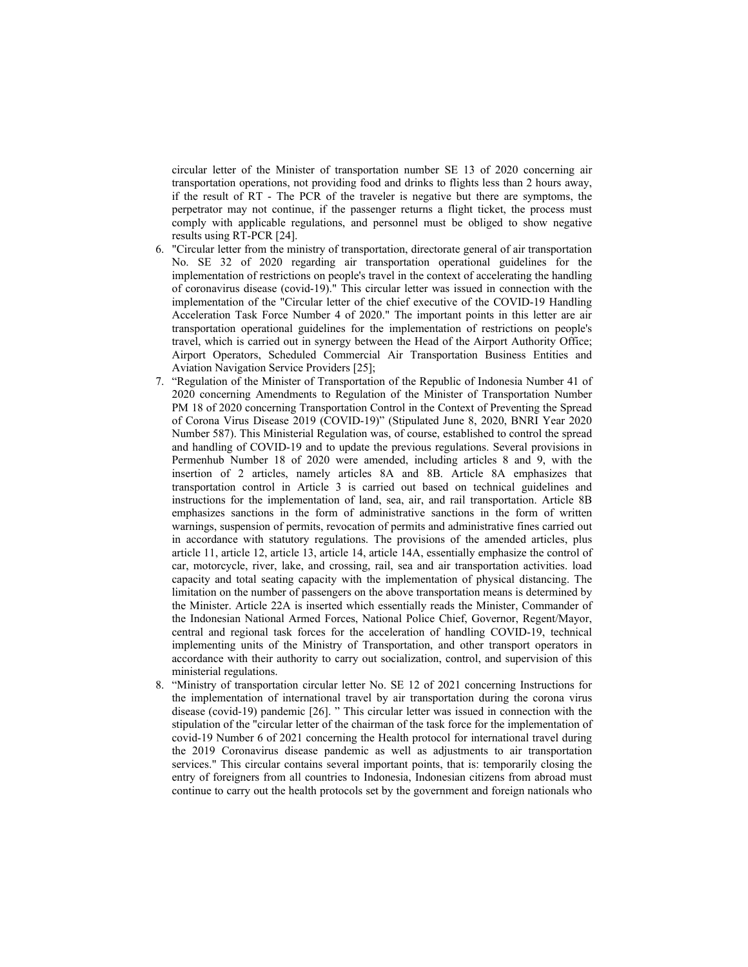circular letter of the Minister of transportation number SE 13 of 2020 concerning air transportation operations, not providing food and drinks to flights less than 2 hours away, if the result of RT - The PCR of the traveler is negative but there are symptoms, the perpetrator may not continue, if the passenger returns a flight ticket, the process must comply with applicable regulations, and personnel must be obliged to show negative results using RT-PCR [24].

- 6. "Circular letter from the ministry of transportation, directorate general of air transportation No. SE 32 of 2020 regarding air transportation operational guidelines for the implementation of restrictions on people's travel in the context of accelerating the handling of coronavirus disease (covid-19)." This circular letter was issued in connection with the implementation of the "Circular letter of the chief executive of the COVID-19 Handling Acceleration Task Force Number 4 of 2020." The important points in this letter are air transportation operational guidelines for the implementation of restrictions on people's travel, which is carried out in synergy between the Head of the Airport Authority Office; Airport Operators, Scheduled Commercial Air Transportation Business Entities and Aviation Navigation Service Providers [25];
- 7. "Regulation of the Minister of Transportation of the Republic of Indonesia Number 41 of 2020 concerning Amendments to Regulation of the Minister of Transportation Number PM 18 of 2020 concerning Transportation Control in the Context of Preventing the Spread of Corona Virus Disease 2019 (COVID-19)" (Stipulated June 8, 2020, BNRI Year 2020 Number 587). This Ministerial Regulation was, of course, established to control the spread and handling of COVID-19 and to update the previous regulations. Several provisions in Permenhub Number 18 of 2020 were amended, including articles 8 and 9, with the insertion of 2 articles, namely articles 8A and 8B. Article 8A emphasizes that transportation control in Article 3 is carried out based on technical guidelines and instructions for the implementation of land, sea, air, and rail transportation. Article 8B emphasizes sanctions in the form of administrative sanctions in the form of written warnings, suspension of permits, revocation of permits and administrative fines carried out in accordance with statutory regulations. The provisions of the amended articles, plus article 11, article 12, article 13, article 14, article 14A, essentially emphasize the control of car, motorcycle, river, lake, and crossing, rail, sea and air transportation activities. load capacity and total seating capacity with the implementation of physical distancing. The limitation on the number of passengers on the above transportation means is determined by the Minister. Article 22A is inserted which essentially reads the Minister, Commander of the Indonesian National Armed Forces, National Police Chief, Governor, Regent/Mayor, central and regional task forces for the acceleration of handling COVID-19, technical implementing units of the Ministry of Transportation, and other transport operators in accordance with their authority to carry out socialization, control, and supervision of this ministerial regulations.
- 8. "Ministry of transportation circular letter No. SE 12 of 2021 concerning Instructions for the implementation of international travel by air transportation during the corona virus disease (covid-19) pandemic [26]. " This circular letter was issued in connection with the stipulation of the "circular letter of the chairman of the task force for the implementation of covid-19 Number 6 of 2021 concerning the Health protocol for international travel during the 2019 Coronavirus disease pandemic as well as adjustments to air transportation services." This circular contains several important points, that is: temporarily closing the entry of foreigners from all countries to Indonesia, Indonesian citizens from abroad must continue to carry out the health protocols set by the government and foreign nationals who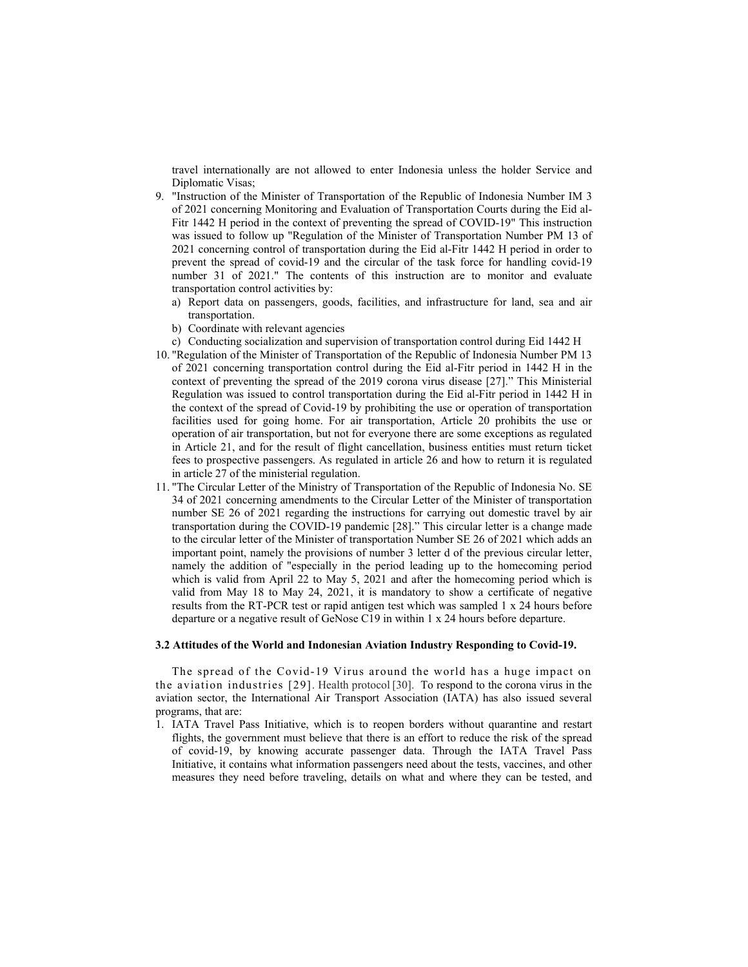travel internationally are not allowed to enter Indonesia unless the holder Service and Diplomatic Visas;

- 9. "Instruction of the Minister of Transportation of the Republic of Indonesia Number IM 3 of 2021 concerning Monitoring and Evaluation of Transportation Courts during the Eid al-Fitr 1442 H period in the context of preventing the spread of COVID-19" This instruction was issued to follow up "Regulation of the Minister of Transportation Number PM 13 of 2021 concerning control of transportation during the Eid al-Fitr 1442 H period in order to prevent the spread of covid-19 and the circular of the task force for handling covid-19 number 31 of 2021." The contents of this instruction are to monitor and evaluate transportation control activities by:
	- a) Report data on passengers, goods, facilities, and infrastructure for land, sea and air transportation.
	- b) Coordinate with relevant agencies
	- c) Conducting socialization and supervision of transportation control during Eid 1442 H
- 10. "Regulation of the Minister of Transportation of the Republic of Indonesia Number PM 13 of 2021 concerning transportation control during the Eid al-Fitr period in 1442 H in the context of preventing the spread of the 2019 corona virus disease [27]." This Ministerial Regulation was issued to control transportation during the Eid al-Fitr period in 1442 H in the context of the spread of Covid-19 by prohibiting the use or operation of transportation facilities used for going home. For air transportation, Article 20 prohibits the use or operation of air transportation, but not for everyone there are some exceptions as regulated in Article 21, and for the result of flight cancellation, business entities must return ticket fees to prospective passengers. As regulated in article 26 and how to return it is regulated in article 27 of the ministerial regulation.
- 11. "The Circular Letter of the Ministry of Transportation of the Republic of Indonesia No. SE 34 of 2021 concerning amendments to the Circular Letter of the Minister of transportation number SE 26 of 2021 regarding the instructions for carrying out domestic travel by air transportation during the COVID-19 pandemic [28]." This circular letter is a change made to the circular letter of the Minister of transportation Number SE 26 of 2021 which adds an important point, namely the provisions of number 3 letter d of the previous circular letter, namely the addition of "especially in the period leading up to the homecoming period which is valid from April 22 to May 5, 2021 and after the homecoming period which is valid from May 18 to May 24, 2021, it is mandatory to show a certificate of negative results from the RT-PCR test or rapid antigen test which was sampled 1 x 24 hours before departure or a negative result of GeNose C19 in within 1 x 24 hours before departure.

#### **3.2 Attitudes of the World and Indonesian Aviation Industry Responding to Covid-19.**

The spread of the Covid-19 Virus around the world has a huge impact on the aviation industries [29]. Health protocol [30]. To respond to the corona virus in the aviation sector, the International Air Transport Association (IATA) has also issued several programs, that are:

1. IATA Travel Pass Initiative, which is to reopen borders without quarantine and restart flights, the government must believe that there is an effort to reduce the risk of the spread of covid-19, by knowing accurate passenger data. Through the IATA Travel Pass Initiative, it contains what information passengers need about the tests, vaccines, and other measures they need before traveling, details on what and where they can be tested, and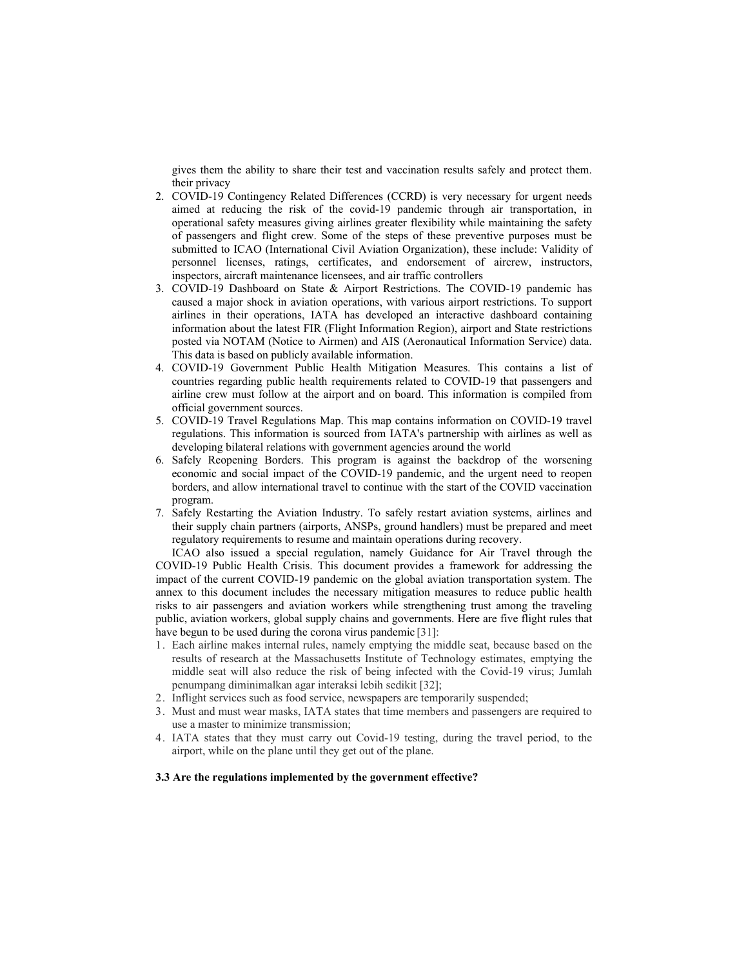gives them the ability to share their test and vaccination results safely and protect them. their privacy

- 2. COVID-19 Contingency Related Differences (CCRD) is very necessary for urgent needs aimed at reducing the risk of the covid-19 pandemic through air transportation, in operational safety measures giving airlines greater flexibility while maintaining the safety of passengers and flight crew. Some of the steps of these preventive purposes must be submitted to ICAO (International Civil Aviation Organization), these include: Validity of personnel licenses, ratings, certificates, and endorsement of aircrew, instructors, inspectors, aircraft maintenance licensees, and air traffic controllers
- 3. COVID-19 Dashboard on State & Airport Restrictions. The COVID-19 pandemic has caused a major shock in aviation operations, with various airport restrictions. To support airlines in their operations, IATA has developed an interactive dashboard containing information about the latest FIR (Flight Information Region), airport and State restrictions posted via NOTAM (Notice to Airmen) and AIS (Aeronautical Information Service) data. This data is based on publicly available information.
- 4. COVID-19 Government Public Health Mitigation Measures. This contains a list of countries regarding public health requirements related to COVID-19 that passengers and airline crew must follow at the airport and on board. This information is compiled from official government sources.
- 5. COVID-19 Travel Regulations Map. This map contains information on COVID-19 travel regulations. This information is sourced from IATA's partnership with airlines as well as developing bilateral relations with government agencies around the world
- 6. Safely Reopening Borders. This program is against the backdrop of the worsening economic and social impact of the COVID-19 pandemic, and the urgent need to reopen borders, and allow international travel to continue with the start of the COVID vaccination program.
- 7. Safely Restarting the Aviation Industry. To safely restart aviation systems, airlines and their supply chain partners (airports, ANSPs, ground handlers) must be prepared and meet regulatory requirements to resume and maintain operations during recovery.

ICAO also issued a special regulation, namely Guidance for Air Travel through the COVID-19 Public Health Crisis. This document provides a framework for addressing the impact of the current COVID-19 pandemic on the global aviation transportation system. The annex to this document includes the necessary mitigation measures to reduce public health risks to air passengers and aviation workers while strengthening trust among the traveling public, aviation workers, global supply chains and governments. Here are five flight rules that have begun to be used during the corona virus pandemic [31]:

- 1. Each airline makes internal rules, namely emptying the middle seat, because based on the results of research at the Massachusetts Institute of Technology estimates, emptying the middle seat will also reduce the risk of being infected with the Covid-19 virus; Jumlah penumpang diminimalkan agar interaksi lebih sedikit [32];
- 2. Inflight services such as food service, newspapers are temporarily suspended;
- 3. Must and must wear masks, IATA states that time members and passengers are required to use a master to minimize transmission;
- 4. IATA states that they must carry out Covid-19 testing, during the travel period, to the airport, while on the plane until they get out of the plane.

#### **3.3 Are the regulations implemented by the government effective?**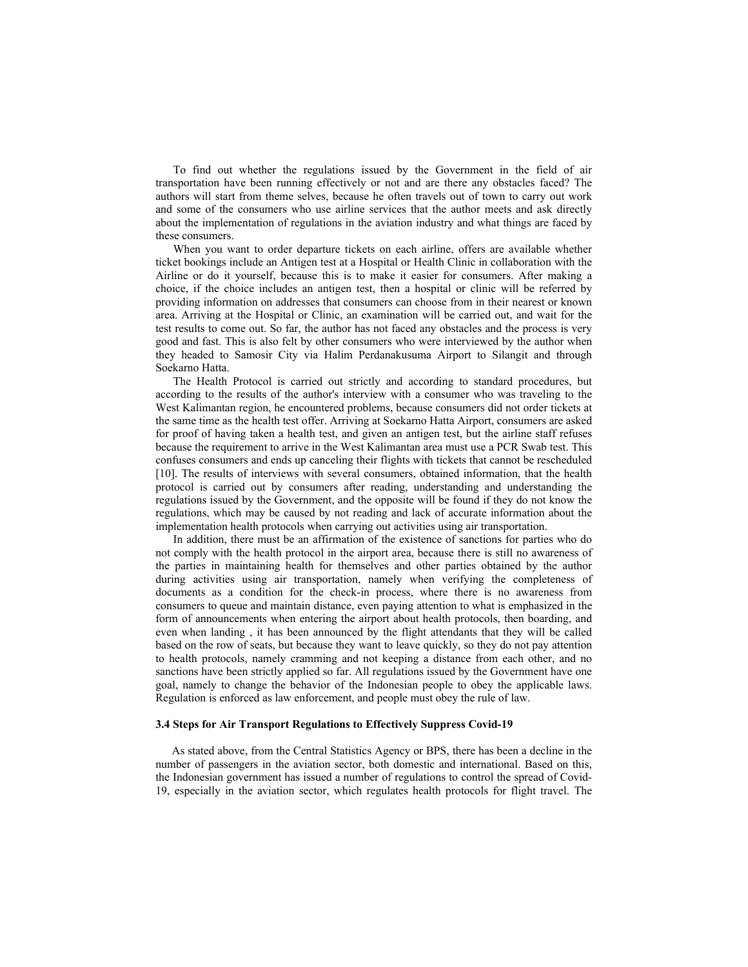To find out whether the regulations issued by the Government in the field of air transportation have been running effectively or not and are there any obstacles faced? The authors will start from theme selves, because he often travels out of town to carry out work and some of the consumers who use airline services that the author meets and ask directly about the implementation of regulations in the aviation industry and what things are faced by these consumers.

When you want to order departure tickets on each airline, offers are available whether ticket bookings include an Antigen test at a Hospital or Health Clinic in collaboration with the Airline or do it yourself, because this is to make it easier for consumers. After making a choice, if the choice includes an antigen test, then a hospital or clinic will be referred by providing information on addresses that consumers can choose from in their nearest or known area. Arriving at the Hospital or Clinic, an examination will be carried out, and wait for the test results to come out. So far, the author has not faced any obstacles and the process is very good and fast. This is also felt by other consumers who were interviewed by the author when they headed to Samosir City via Halim Perdanakusuma Airport to Silangit and through Soekarno Hatta.

The Health Protocol is carried out strictly and according to standard procedures, but according to the results of the author's interview with a consumer who was traveling to the West Kalimantan region, he encountered problems, because consumers did not order tickets at the same time as the health test offer. Arriving at Soekarno Hatta Airport, consumers are asked for proof of having taken a health test, and given an antigen test, but the airline staff refuses because the requirement to arrive in the West Kalimantan area must use a PCR Swab test. This confuses consumers and ends up canceling their flights with tickets that cannot be rescheduled [10]. The results of interviews with several consumers, obtained information, that the health protocol is carried out by consumers after reading, understanding and understanding the regulations issued by the Government, and the opposite will be found if they do not know the regulations, which may be caused by not reading and lack of accurate information about the implementation health protocols when carrying out activities using air transportation.

In addition, there must be an affirmation of the existence of sanctions for parties who do not comply with the health protocol in the airport area, because there is still no awareness of the parties in maintaining health for themselves and other parties obtained by the author during activities using air transportation, namely when verifying the completeness of documents as a condition for the check-in process, where there is no awareness from consumers to queue and maintain distance, even paying attention to what is emphasized in the form of announcements when entering the airport about health protocols, then boarding, and even when landing , it has been announced by the flight attendants that they will be called based on the row of seats, but because they want to leave quickly, so they do not pay attention to health protocols, namely cramming and not keeping a distance from each other, and no sanctions have been strictly applied so far. All regulations issued by the Government have one goal, namely to change the behavior of the Indonesian people to obey the applicable laws. Regulation is enforced as law enforcement, and people must obey the rule of law.

### **3.4 Steps for Air Transport Regulations to Effectively Suppress Covid-19**

As stated above, from the Central Statistics Agency or BPS, there has been a decline in the number of passengers in the aviation sector, both domestic and international. Based on this, the Indonesian government has issued a number of regulations to control the spread of Covid-19, especially in the aviation sector, which regulates health protocols for flight travel. The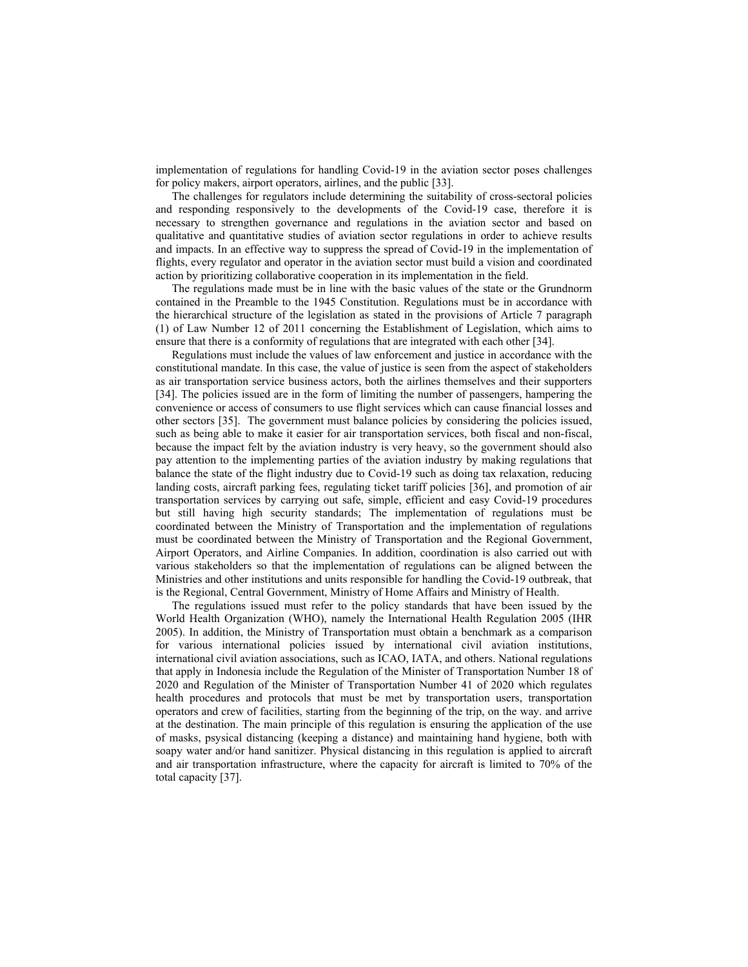implementation of regulations for handling Covid-19 in the aviation sector poses challenges for policy makers, airport operators, airlines, and the public [33].

The challenges for regulators include determining the suitability of cross-sectoral policies and responding responsively to the developments of the Covid-19 case, therefore it is necessary to strengthen governance and regulations in the aviation sector and based on qualitative and quantitative studies of aviation sector regulations in order to achieve results and impacts. In an effective way to suppress the spread of Covid-19 in the implementation of flights, every regulator and operator in the aviation sector must build a vision and coordinated action by prioritizing collaborative cooperation in its implementation in the field.

The regulations made must be in line with the basic values of the state or the Grundnorm contained in the Preamble to the 1945 Constitution. Regulations must be in accordance with the hierarchical structure of the legislation as stated in the provisions of Article 7 paragraph (1) of Law Number 12 of 2011 concerning the Establishment of Legislation, which aims to ensure that there is a conformity of regulations that are integrated with each other [34].

Regulations must include the values of law enforcement and justice in accordance with the constitutional mandate. In this case, the value of justice is seen from the aspect of stakeholders as air transportation service business actors, both the airlines themselves and their supporters [34]. The policies issued are in the form of limiting the number of passengers, hampering the convenience or access of consumers to use flight services which can cause financial losses and other sectors [35]. The government must balance policies by considering the policies issued, such as being able to make it easier for air transportation services, both fiscal and non-fiscal, because the impact felt by the aviation industry is very heavy, so the government should also pay attention to the implementing parties of the aviation industry by making regulations that balance the state of the flight industry due to Covid-19 such as doing tax relaxation, reducing landing costs, aircraft parking fees, regulating ticket tariff policies [36], and promotion of air transportation services by carrying out safe, simple, efficient and easy Covid-19 procedures but still having high security standards; The implementation of regulations must be coordinated between the Ministry of Transportation and the implementation of regulations must be coordinated between the Ministry of Transportation and the Regional Government, Airport Operators, and Airline Companies. In addition, coordination is also carried out with various stakeholders so that the implementation of regulations can be aligned between the Ministries and other institutions and units responsible for handling the Covid-19 outbreak, that is the Regional, Central Government, Ministry of Home Affairs and Ministry of Health.

The regulations issued must refer to the policy standards that have been issued by the World Health Organization (WHO), namely the International Health Regulation 2005 (IHR 2005). In addition, the Ministry of Transportation must obtain a benchmark as a comparison for various international policies issued by international civil aviation institutions, international civil aviation associations, such as ICAO, IATA, and others. National regulations that apply in Indonesia include the Regulation of the Minister of Transportation Number 18 of 2020 and Regulation of the Minister of Transportation Number 41 of 2020 which regulates health procedures and protocols that must be met by transportation users, transportation operators and crew of facilities, starting from the beginning of the trip, on the way. and arrive at the destination. The main principle of this regulation is ensuring the application of the use of masks, psysical distancing (keeping a distance) and maintaining hand hygiene, both with soapy water and/or hand sanitizer. Physical distancing in this regulation is applied to aircraft and air transportation infrastructure, where the capacity for aircraft is limited to 70% of the total capacity [37].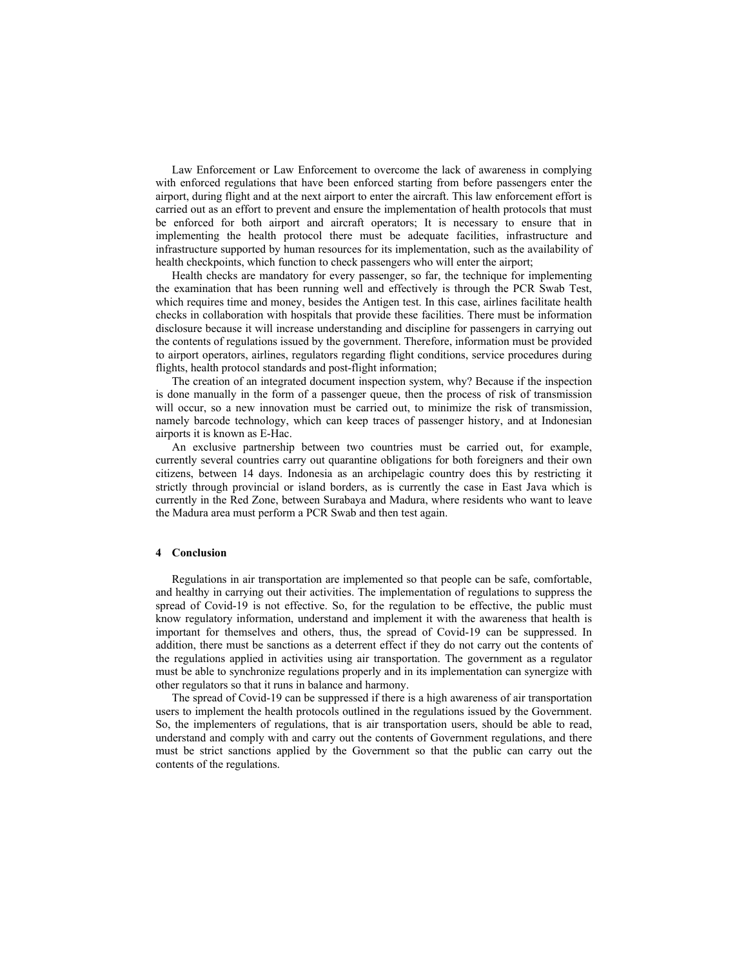Law Enforcement or Law Enforcement to overcome the lack of awareness in complying with enforced regulations that have been enforced starting from before passengers enter the airport, during flight and at the next airport to enter the aircraft. This law enforcement effort is carried out as an effort to prevent and ensure the implementation of health protocols that must be enforced for both airport and aircraft operators; It is necessary to ensure that in implementing the health protocol there must be adequate facilities, infrastructure and infrastructure supported by human resources for its implementation, such as the availability of health checkpoints, which function to check passengers who will enter the airport;

Health checks are mandatory for every passenger, so far, the technique for implementing the examination that has been running well and effectively is through the PCR Swab Test, which requires time and money, besides the Antigen test. In this case, airlines facilitate health checks in collaboration with hospitals that provide these facilities. There must be information disclosure because it will increase understanding and discipline for passengers in carrying out the contents of regulations issued by the government. Therefore, information must be provided to airport operators, airlines, regulators regarding flight conditions, service procedures during flights, health protocol standards and post-flight information;

The creation of an integrated document inspection system, why? Because if the inspection is done manually in the form of a passenger queue, then the process of risk of transmission will occur, so a new innovation must be carried out, to minimize the risk of transmission, namely barcode technology, which can keep traces of passenger history, and at Indonesian airports it is known as E-Hac.

An exclusive partnership between two countries must be carried out, for example, currently several countries carry out quarantine obligations for both foreigners and their own citizens, between 14 days. Indonesia as an archipelagic country does this by restricting it strictly through provincial or island borders, as is currently the case in East Java which is currently in the Red Zone, between Surabaya and Madura, where residents who want to leave the Madura area must perform a PCR Swab and then test again.

## **4 Conclusion**

Regulations in air transportation are implemented so that people can be safe, comfortable, and healthy in carrying out their activities. The implementation of regulations to suppress the spread of Covid-19 is not effective. So, for the regulation to be effective, the public must know regulatory information, understand and implement it with the awareness that health is important for themselves and others, thus, the spread of Covid-19 can be suppressed. In addition, there must be sanctions as a deterrent effect if they do not carry out the contents of the regulations applied in activities using air transportation. The government as a regulator must be able to synchronize regulations properly and in its implementation can synergize with other regulators so that it runs in balance and harmony.

The spread of Covid-19 can be suppressed if there is a high awareness of air transportation users to implement the health protocols outlined in the regulations issued by the Government. So, the implementers of regulations, that is air transportation users, should be able to read, understand and comply with and carry out the contents of Government regulations, and there must be strict sanctions applied by the Government so that the public can carry out the contents of the regulations.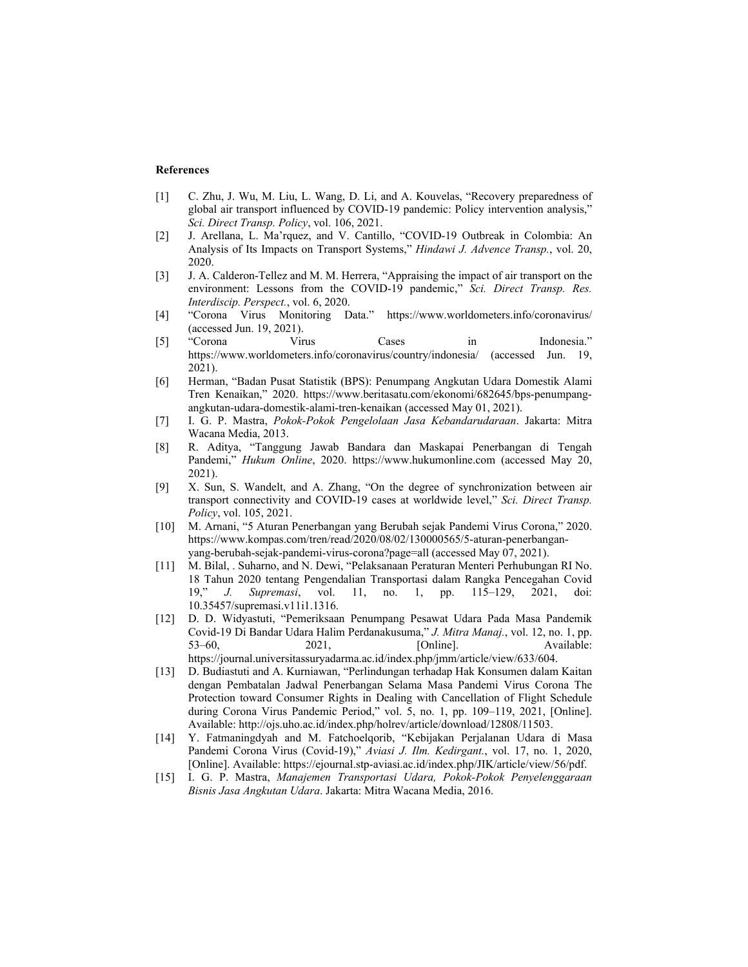#### **References**

- [1] C. Zhu, J. Wu, M. Liu, L. Wang, D. Li, and A. Kouvelas, "Recovery preparedness of global air transport influenced by COVID-19 pandemic: Policy intervention analysis," *Sci. Direct Transp. Policy*, vol. 106, 2021.
- [2] J. Arellana, L. Ma'rquez, and V. Cantillo, "COVID-19 Outbreak in Colombia: An Analysis of Its Impacts on Transport Systems," *Hindawi J. Advence Transp.*, vol. 20, 2020.
- [3] J. A. Calderon-Tellez and M. M. Herrera, "Appraising the impact of air transport on the environment: Lessons from the COVID-19 pandemic," *Sci. Direct Transp. Res. Interdiscip. Perspect.*, vol. 6, 2020.
- [4] "Corona Virus Monitoring Data." https://www.worldometers.info/coronavirus/ (accessed Jun. 19, 2021).
- [5] "Corona Virus Cases in Indonesia." https://www.worldometers.info/coronavirus/country/indonesia/ (accessed Jun. 19, 2021).
- [6] Herman, "Badan Pusat Statistik (BPS): Penumpang Angkutan Udara Domestik Alami Tren Kenaikan," 2020. https://www.beritasatu.com/ekonomi/682645/bps-penumpangangkutan-udara-domestik-alami-tren-kenaikan (accessed May 01, 2021).
- [7] I. G. P. Mastra, *Pokok-Pokok Pengelolaan Jasa Kebandarudaraan*. Jakarta: Mitra Wacana Media, 2013.
- [8] R. Aditya, "Tanggung Jawab Bandara dan Maskapai Penerbangan di Tengah Pandemi," *Hukum Online*, 2020. https://www.hukumonline.com (accessed May 20, 2021).
- [9] X. Sun, S. Wandelt, and A. Zhang, "On the degree of synchronization between air transport connectivity and COVID-19 cases at worldwide level," *Sci. Direct Transp. Policy*, vol. 105, 2021.
- [10] M. Arnani, "5 Aturan Penerbangan yang Berubah sejak Pandemi Virus Corona," 2020. https://www.kompas.com/tren/read/2020/08/02/130000565/5-aturan-penerbanganyang-berubah-sejak-pandemi-virus-corona?page=all (accessed May 07, 2021).
- [11] M. Bilal, . Suharno, and N. Dewi, "Pelaksanaan Peraturan Menteri Perhubungan RI No. 18 Tahun 2020 tentang Pengendalian Transportasi dalam Rangka Pencegahan Covid 19," *J. Supremasi*, vol. 11, no. 1, pp. 115–129, 2021, doi: 10.35457/supremasi.v11i1.1316.
- [12] D. D. Widyastuti, "Pemeriksaan Penumpang Pesawat Udara Pada Masa Pandemik Covid-19 Di Bandar Udara Halim Perdanakusuma," *J. Mitra Manaj.*, vol. 12, no. 1, pp. 53–60, 2021, [Online]. Available: https://journal.universitassuryadarma.ac.id/index.php/jmm/article/view/633/604.
- [13] D. Budiastuti and A. Kurniawan, "Perlindungan terhadap Hak Konsumen dalam Kaitan dengan Pembatalan Jadwal Penerbangan Selama Masa Pandemi Virus Corona The Protection toward Consumer Rights in Dealing with Cancellation of Flight Schedule during Corona Virus Pandemic Period," vol. 5, no. 1, pp. 109–119, 2021, [Online]. Available: http://ojs.uho.ac.id/index.php/holrev/article/download/12808/11503.
- [14] Y. Fatmaningdyah and M. Fatchoelqorib, "Kebijakan Perjalanan Udara di Masa Pandemi Corona Virus (Covid-19)," *Aviasi J. Ilm. Kedirgant.*, vol. 17, no. 1, 2020, [Online]. Available: https://ejournal.stp-aviasi.ac.id/index.php/JIK/article/view/56/pdf.
- [15] I. G. P. Mastra, *Manajemen Transportasi Udara, Pokok-Pokok Penyelenggaraan Bisnis Jasa Angkutan Udara*. Jakarta: Mitra Wacana Media, 2016.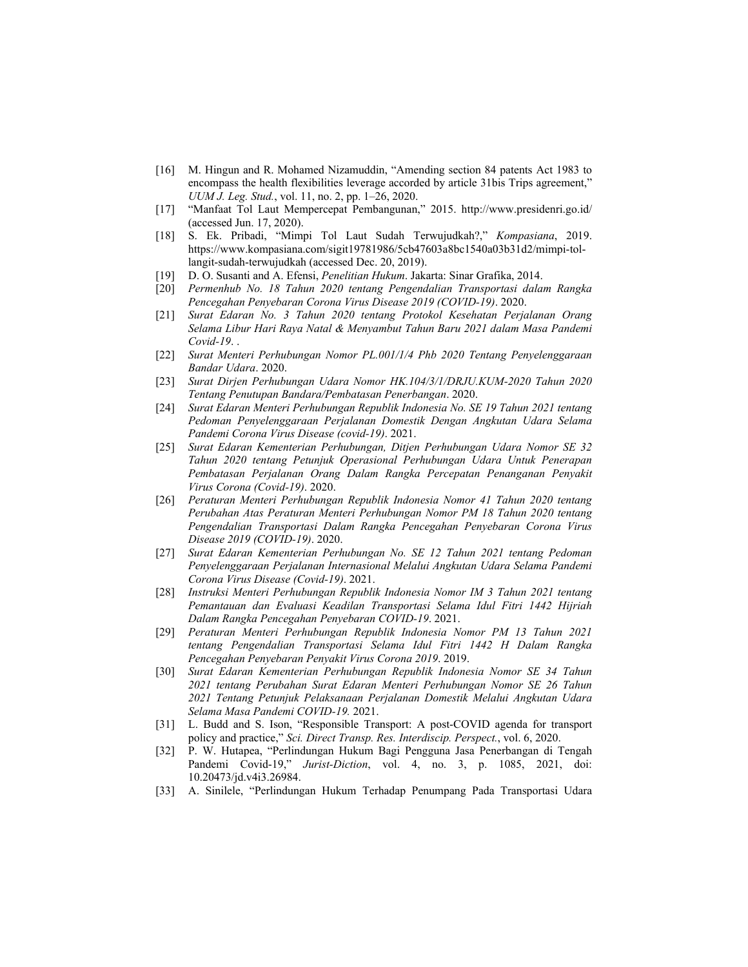- [16] M. Hingun and R. Mohamed Nizamuddin, "Amending section 84 patents Act 1983 to encompass the health flexibilities leverage accorded by article 31bis Trips agreement," *UUM J. Leg. Stud.*, vol. 11, no. 2, pp. 1–26, 2020.
- [17] "Manfaat Tol Laut Mempercepat Pembangunan," 2015. http://www.presidenri.go.id/ (accessed Jun. 17, 2020).
- [18] S. Ek. Pribadi, "Mimpi Tol Laut Sudah Terwujudkah?," *Kompasiana*, 2019. https://www.kompasiana.com/sigit19781986/5cb47603a8bc1540a03b31d2/mimpi-tollangit-sudah-terwujudkah (accessed Dec. 20, 2019).
- [19] D. O. Susanti and A. Efensi, *Penelitian Hukum*. Jakarta: Sinar Grafika, 2014.
- [20] *Permenhub No. 18 Tahun 2020 tentang Pengendalian Transportasi dalam Rangka Pencegahan Penyebaran Corona Virus Disease 2019 (COVID-19)*. 2020.
- [21] *Surat Edaran No. 3 Tahun 2020 tentang Protokol Kesehatan Perjalanan Orang Selama Libur Hari Raya Natal & Menyambut Tahun Baru 2021 dalam Masa Pandemi Covid-19*. .
- [22] *Surat Menteri Perhubungan Nomor PL.001/1/4 Phb 2020 Tentang Penyelenggaraan Bandar Udara*. 2020.
- [23] *Surat Dirjen Perhubungan Udara Nomor HK.104/3/1/DRJU.KUM-2020 Tahun 2020 Tentang Penutupan Bandara/Pembatasan Penerbangan*. 2020.
- [24] *Surat Edaran Menteri Perhubungan Republik Indonesia No. SE 19 Tahun 2021 tentang Pedoman Penyelenggaraan Perjalanan Domestik Dengan Angkutan Udara Selama Pandemi Corona Virus Disease (covid-19)*. 2021.
- [25] *Surat Edaran Kementerian Perhubungan, Ditjen Perhubungan Udara Nomor SE 32 Tahun 2020 tentang Petunjuk Operasional Perhubungan Udara Untuk Penerapan Pembatasan Perjalanan Orang Dalam Rangka Percepatan Penanganan Penyakit Virus Corona (Covid-19)*. 2020.
- [26] *Peraturan Menteri Perhubungan Republik Indonesia Nomor 41 Tahun 2020 tentang Perubahan Atas Peraturan Menteri Perhubungan Nomor PM 18 Tahun 2020 tentang Pengendalian Transportasi Dalam Rangka Pencegahan Penyebaran Corona Virus Disease 2019 (COVID-19)*. 2020.
- [27] *Surat Edaran Kementerian Perhubungan No. SE 12 Tahun 2021 tentang Pedoman Penyelenggaraan Perjalanan Internasional Melalui Angkutan Udara Selama Pandemi Corona Virus Disease (Covid-19)*. 2021.
- [28] *Instruksi Menteri Perhubungan Republik Indonesia Nomor IM 3 Tahun 2021 tentang Pemantauan dan Evaluasi Keadilan Transportasi Selama Idul Fitri 1442 Hijriah Dalam Rangka Pencegahan Penyebaran COVID-19*. 2021.
- [29] *Peraturan Menteri Perhubungan Republik Indonesia Nomor PM 13 Tahun 2021 tentang Pengendalian Transportasi Selama Idul Fitri 1442 H Dalam Rangka Pencegahan Penyebaran Penyakit Virus Corona 2019*. 2019.
- [30] *Surat Edaran Kementerian Perhubungan Republik Indonesia Nomor SE 34 Tahun 2021 tentang Perubahan Surat Edaran Menteri Perhubungan Nomor SE 26 Tahun 2021 Tentang Petunjuk Pelaksanaan Perjalanan Domestik Melalui Angkutan Udara Selama Masa Pandemi COVID-19.* 2021.
- [31] L. Budd and S. Ison, "Responsible Transport: A post-COVID agenda for transport policy and practice," *Sci. Direct Transp. Res. Interdiscip. Perspect.*, vol. 6, 2020.
- [32] P. W. Hutapea, "Perlindungan Hukum Bagi Pengguna Jasa Penerbangan di Tengah Pandemi Covid-19," *Jurist-Diction*, vol. 4, no. 3, p. 1085, 2021, doi: 10.20473/jd.v4i3.26984.
- [33] A. Sinilele, "Perlindungan Hukum Terhadap Penumpang Pada Transportasi Udara